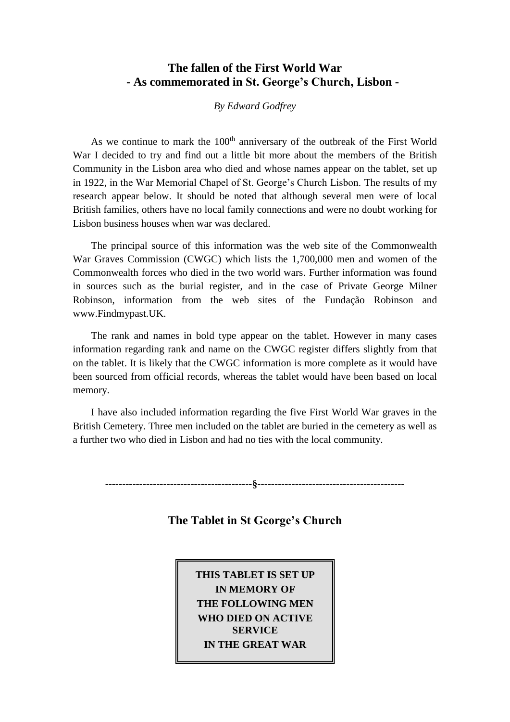# **The fallen of the First World War - As commemorated in St. George's Church, Lisbon -**

#### *By Edward Godfrey*

As we continue to mark the  $100<sup>th</sup>$  anniversary of the outbreak of the First World War I decided to try and find out a little bit more about the members of the British Community in the Lisbon area who died and whose names appear on the tablet, set up in 1922, in the War Memorial Chapel of St. George's Church Lisbon. The results of my research appear below. It should be noted that although several men were of local British families, others have no local family connections and were no doubt working for Lisbon business houses when war was declared.

The principal source of this information was the web site of the Commonwealth War Graves Commission (CWGC) which lists the 1,700,000 men and women of the Commonwealth forces who died in the two world wars. Further information was found in sources such as the burial register, and in the case of Private George Milner Robinson, information from the web sites of the Fundação Robinson and www.Findmypast.UK.

The rank and names in bold type appear on the tablet. However in many cases information regarding rank and name on the CWGC register differs slightly from that on the tablet. It is likely that the CWGC information is more complete as it would have been sourced from official records, whereas the tablet would have been based on local memory.

I have also included information regarding the five First World War graves in the British Cemetery. Three men included on the tablet are buried in the cemetery as well as a further two who died in Lisbon and had no ties with the local community.

**-------------------------------------------§-------------------------------------------**

**The Tablet in St George's Church**

**THIS TABLET IS SET UP IN MEMORY OF THE FOLLOWING MEN WHO DIED ON ACTIVE SERVICE IN THE GREAT WAR**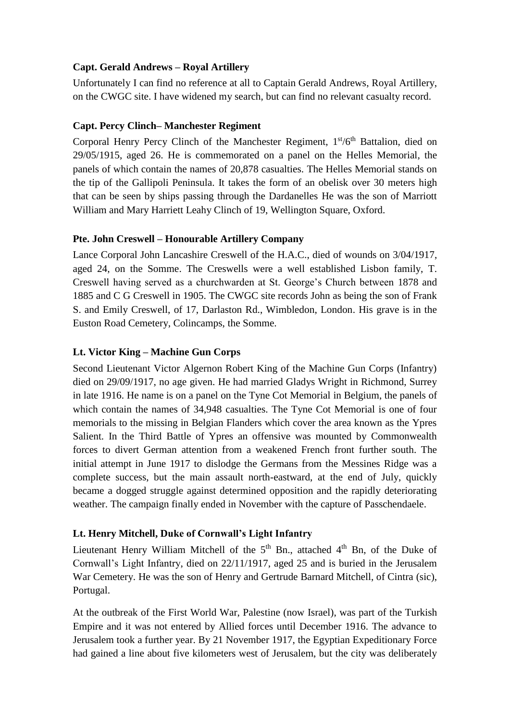### **Capt. Gerald Andrews – Royal Artillery**

Unfortunately I can find no reference at all to Captain Gerald Andrews, Royal Artillery, on the CWGC site. I have widened my search, but can find no relevant casualty record.

### **Capt. Percy Clinch– Manchester Regiment**

Corporal Henry Percy Clinch of the Manchester Regiment, 1st/6<sup>th</sup> Battalion, died on 29/05/1915, aged 26. He is commemorated on a panel on the Helles Memorial, the panels of which contain the names of 20,878 casualties. The Helles Memorial stands on the tip of the Gallipoli Peninsula. It takes the form of an obelisk over 30 meters high that can be seen by ships passing through the Dardanelles He was the son of Marriott William and Mary Harriett Leahy Clinch of 19, Wellington Square, Oxford.

### **Pte. John Creswell – Honourable Artillery Company**

Lance Corporal John Lancashire Creswell of the H.A.C., died of wounds on 3/04/1917, aged 24, on the Somme. The Creswells were a well established Lisbon family, T. Creswell having served as a churchwarden at St. George's Church between 1878 and 1885 and C G Creswell in 1905. The CWGC site records John as being the son of Frank S. and Emily Creswell, of 17, Darlaston Rd., Wimbledon, London. His grave is in the Euston Road Cemetery, Colincamps, the Somme.

### **Lt. Victor King – Machine Gun Corps**

Second Lieutenant Victor Algernon Robert King of the Machine Gun Corps (Infantry) died on 29/09/1917, no age given. He had married Gladys Wright in Richmond, Surrey in late 1916. He name is on a panel on the Tyne Cot Memorial in Belgium, the panels of which contain the names of 34,948 casualties. The Tyne Cot Memorial is one of four memorials to the missing in Belgian Flanders which cover the area known as the Ypres Salient. In the Third Battle of Ypres an offensive was mounted by Commonwealth forces to divert German attention from a weakened French front further south. The initial attempt in June 1917 to dislodge the Germans from the Messines Ridge was a complete success, but the main assault north-eastward, at the end of July, quickly became a dogged struggle against determined opposition and the rapidly deteriorating weather. The campaign finally ended in November with the capture of Passchendaele.

### **Lt. Henry Mitchell, Duke of Cornwall's Light Infantry**

Lieutenant Henry William Mitchell of the  $5<sup>th</sup>$  Bn., attached  $4<sup>th</sup>$  Bn, of the Duke of Cornwall's Light Infantry, died on 22/11/1917, aged 25 and is buried in the Jerusalem War Cemetery. He was the son of Henry and Gertrude Barnard Mitchell, of Cintra (sic), Portugal.

At the outbreak of the First World War, Palestine (now Israel), was part of the Turkish Empire and it was not entered by Allied forces until December 1916. The advance to Jerusalem took a further year. By 21 November 1917, the Egyptian Expeditionary Force had gained a line about five kilometers west of Jerusalem, but the city was deliberately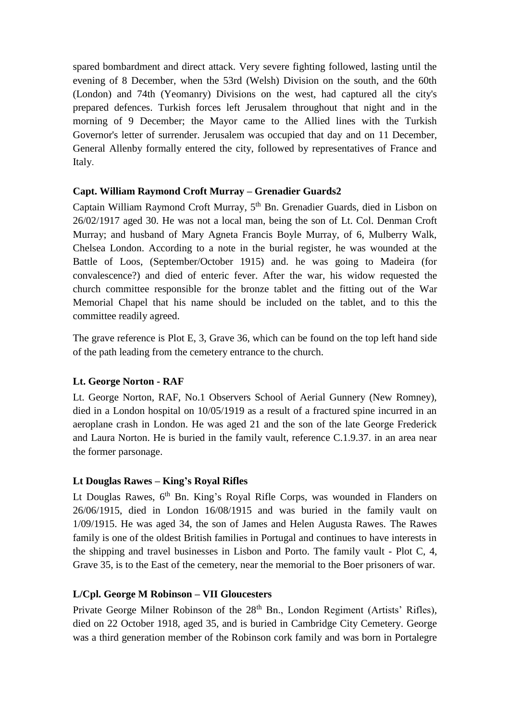spared bombardment and direct attack. Very severe fighting followed, lasting until the evening of 8 December, when the 53rd (Welsh) Division on the south, and the 60th (London) and 74th (Yeomanry) Divisions on the west, had captured all the city's prepared defences. Turkish forces left Jerusalem throughout that night and in the morning of 9 December; the Mayor came to the Allied lines with the Turkish Governor's letter of surrender. Jerusalem was occupied that day and on 11 December, General Allenby formally entered the city, followed by representatives of France and Italy.

### **Capt. William Raymond Croft Murray – Grenadier Guards2**

Captain William Raymond Croft Murray, 5th Bn. Grenadier Guards, died in Lisbon on 26/02/1917 aged 30. He was not a local man, being the son of Lt. Col. Denman Croft Murray; and husband of Mary Agneta Francis Boyle Murray, of 6, Mulberry Walk, Chelsea London. According to a note in the burial register, he was wounded at the Battle of Loos, (September/October 1915) and. he was going to Madeira (for convalescence?) and died of enteric fever. After the war, his widow requested the church committee responsible for the bronze tablet and the fitting out of the War Memorial Chapel that his name should be included on the tablet, and to this the committee readily agreed.

The grave reference is Plot E, 3, Grave 36, which can be found on the top left hand side of the path leading from the cemetery entrance to the church.

# **Lt. George Norton - RAF**

Lt. George Norton, RAF, No.1 Observers School of Aerial Gunnery (New Romney), died in a London hospital on 10/05/1919 as a result of a fractured spine incurred in an aeroplane crash in London. He was aged 21 and the son of the late George Frederick and Laura Norton. He is buried in the family vault, reference C.1.9.37. in an area near the former parsonage.

# **Lt Douglas Rawes – King's Royal Rifles**

Lt Douglas Rawes, 6<sup>th</sup> Bn. King's Royal Rifle Corps, was wounded in Flanders on 26/06/1915, died in London 16/08/1915 and was buried in the family vault on 1/09/1915. He was aged 34, the son of James and Helen Augusta Rawes. The Rawes family is one of the oldest British families in Portugal and continues to have interests in the shipping and travel businesses in Lisbon and Porto. The family vault - Plot C, 4, Grave 35, is to the East of the cemetery, near the memorial to the Boer prisoners of war.

### **L/Cpl. George M Robinson – VII Gloucesters**

Private George Milner Robinson of the 28<sup>th</sup> Bn., London Regiment (Artists' Rifles), died on 22 October 1918, aged 35, and is buried in Cambridge City Cemetery. George was a third generation member of the Robinson cork family and was born in Portalegre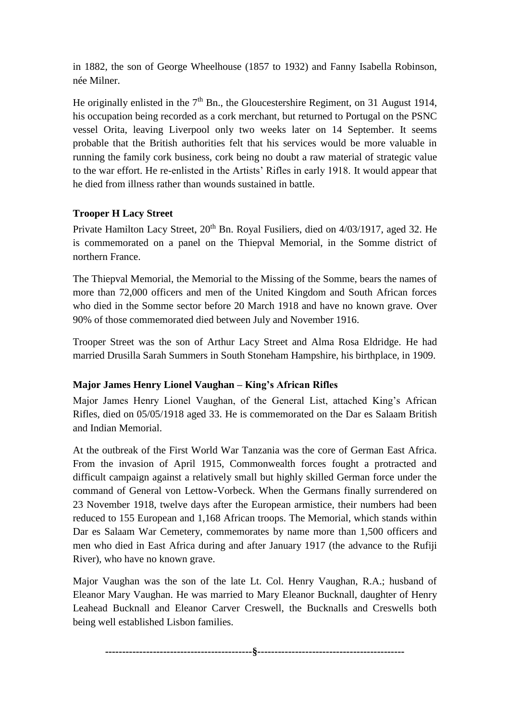in 1882, the son of George Wheelhouse (1857 to 1932) and Fanny Isabella Robinson, née Milner.

He originally enlisted in the  $7<sup>th</sup>$  Bn., the Gloucestershire Regiment, on 31 August 1914, his occupation being recorded as a cork merchant, but returned to Portugal on the PSNC vessel Orita, leaving Liverpool only two weeks later on 14 September. It seems probable that the British authorities felt that his services would be more valuable in running the family cork business, cork being no doubt a raw material of strategic value to the war effort. He re-enlisted in the Artists' Rifles in early 1918. It would appear that he died from illness rather than wounds sustained in battle.

# **Trooper H Lacy Street**

Private Hamilton Lacy Street, 20<sup>th</sup> Bn. Royal Fusiliers, died on 4/03/1917, aged 32. He is commemorated on a panel on the Thiepval Memorial, in the Somme district of northern France.

The Thiepval Memorial, the Memorial to the Missing of the Somme, bears the names of more than 72,000 officers and men of the United Kingdom and South African forces who died in the Somme sector before 20 March 1918 and have no known grave. Over 90% of those commemorated died between July and November 1916.

Trooper Street was the son of Arthur Lacy Street and Alma Rosa Eldridge. He had married Drusilla Sarah Summers in South Stoneham Hampshire, his birthplace, in 1909.

# **Major James Henry Lionel Vaughan – King's African Rifles**

Major James Henry Lionel Vaughan, of the General List, attached King's African Rifles, died on 05/05/1918 aged 33. He is commemorated on the Dar es Salaam British and Indian Memorial.

At the outbreak of the First World War Tanzania was the core of German East Africa. From the invasion of April 1915, Commonwealth forces fought a protracted and difficult campaign against a relatively small but highly skilled German force under the command of General von Lettow-Vorbeck. When the Germans finally surrendered on 23 November 1918, twelve days after the European armistice, their numbers had been reduced to 155 European and 1,168 African troops. The Memorial, which stands within Dar es Salaam War Cemetery, commemorates by name more than 1,500 officers and men who died in East Africa during and after January 1917 (the advance to the Rufiji River), who have no known grave.

Major Vaughan was the son of the late Lt. Col. Henry Vaughan, R.A.; husband of Eleanor Mary Vaughan. He was married to Mary Eleanor Bucknall, daughter of Henry Leahead Bucknall and Eleanor Carver Creswell, the Bucknalls and Creswells both being well established Lisbon families.

**-------------------------------------------§-------------------------------------------**